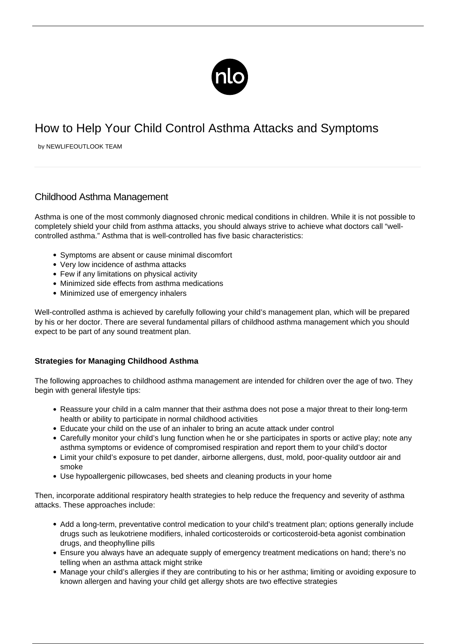

## How to Help Your Child Control Asthma Attacks and Symptoms

by NEWLIFEOUTLOOK TEAM

## Childhood Asthma Management

Asthma is one of the most commonly diagnosed chronic medical conditions in children. While it is not possible to completely shield your child from asthma attacks, you should always strive to achieve what doctors call "wellcontrolled asthma." Asthma that is well-controlled has five basic characteristics:

- Symptoms are absent or cause minimal discomfort
- Very low incidence of asthma attacks
- Few if any limitations on physical activity
- Minimized side effects from asthma medications
- Minimized use of emergency inhalers

Well-controlled asthma is achieved by carefully following your child's management plan, which will be prepared by his or her doctor. There are several fundamental pillars of childhood asthma management which you should expect to be part of any sound treatment plan.

## **Strategies for Managing Childhood Asthma**

The following approaches to childhood asthma management are intended for children over the age of two. They begin with general lifestyle tips:

- Reassure your child in a calm manner that their asthma does not pose a major threat to their long-term health or ability to participate in normal childhood activities
- Educate your child on the use of an inhaler to bring an acute attack under control
- Carefully monitor your child's lung function when he or she participates in sports or active play; note any asthma symptoms or evidence of compromised respiration and report them to your child's doctor
- Limit your child's exposure to pet dander, airborne allergens, dust, mold, poor-quality outdoor air and smoke
- Use hypoallergenic pillowcases, bed sheets and cleaning products in your home

Then, incorporate additional respiratory health strategies to help reduce the frequency and severity of asthma attacks. These approaches include:

- Add a long-term, preventative control medication to your child's treatment plan; options generally include drugs such as leukotriene modifiers, inhaled corticosteroids or corticosteroid-beta agonist combination drugs, and theophylline pills
- Ensure you always have an adequate supply of emergency treatment medications on hand; there's no telling when an asthma attack might strike
- Manage your child's allergies if they are contributing to his or her asthma; limiting or avoiding exposure to known allergen and having your child get allergy shots are two effective strategies